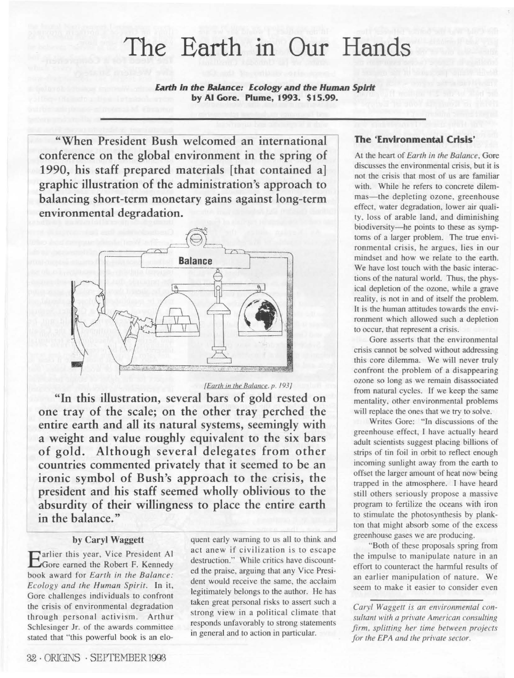# The Earth in Our Hands

**Earth in the Balance: Ecology and the Human Spirit by Al Gore. Plume, 1993. \$15.99.** 

**"When President Bush welcomed an international conference on the global environment in the spring of 1990, his staff prepared materials [that contained a] graphic illustration of the administration's approach to balancing short-term monetary gains against long-term environmental degradation.** 



[Earth in the Balance, *p.* 193/

**"In this illustration, several bars of gold rested on one tray of the scale; on the other tray perched the entire earth and all its natural systems, seemingly with a weight and value roughly equivalent to the six bars of gold. Although several delegates from other countries commented privately that it seemed to be an ironic symbol of Bush's approach to the crisis, the president and his staff seemed wholly oblivious to the absurdity of their willingness to place the entire earth in the balance."** 

#### **by Caryl Waggett**

**Earlier this year, Vice President Al** Gore earned the Robert F. Kennedy book award for *Earth in the Balance: Ecology and the Human Spirit.* In it, Gore challenges individuals to confront the crisis of environmental degradation through personal activism. Arthur Schlesinger Jr. of the awards committee stated that "this powerful book is an elo-

quent early warning to us all to think and act anew if civilization is to escape destruction." While critics have discounted the praise, arguing that any Vice President would receive the same, the acclaim legitimately belongs to the author. He has taken great personal risks to assert such a strong view in a political climate that responds unfavorably to strong statements in general and to action in particular.

### **The 'Environmental Crisis'**

At the heart of *Earth in the Balance,* Gore discusses the environmental crisis, but it is not the crisis that most of us are familiar with. While he refers to concrete dilemmas-the depleting ozone, greenhouse effect, water degradation, lower air quality, loss of arable land, and diminishing biodiversity-he points to these as symptoms of a larger problem. The true environmental crisis, he argues, lies in our mindset and how we relate to the earth. We have lost touch with the basic interactions of the natural world. Thus, the physical depletion of the ozone. while a grave reality, is not in and of itself the problem. It is the human attitudes towards the environment which allowed such a depletion to occur, that represent a crisis.

Gore asserts that the environmental crisis cannot be solved without addressing this core dilemma. We will never truly confront the problem of a disappearing ozone so long as we remain disassociated from natural cycles. If we keep the same mentality, other environmental problems will replace the ones that we try to solve.

Writes Gore: "In discussions of the greenhouse effect, I have actually heard adult scientists suggest placing billions of strips of tin foil in orbit to reflect enough incoming sunlight away from the earth to offset the larger amount of heat now being trapped in the atmosphere. I have heard still others seriously propose a massive program to fertilize the oceans with iron to stimulate the photosynthesis by plankton that might absorb some of the excess greenhouse gases we arc producing.

"Both of these proposals spring from the impulse to manipulate nature in an effort to counteract the hannful results of an earlier manipulation of nature. We seem to make it easier to consider even

*Caryl Waggett is an environmemal consultant with a private American consulting*   $firm.$  *splitting her time between projects for the EPA and the private sector.*